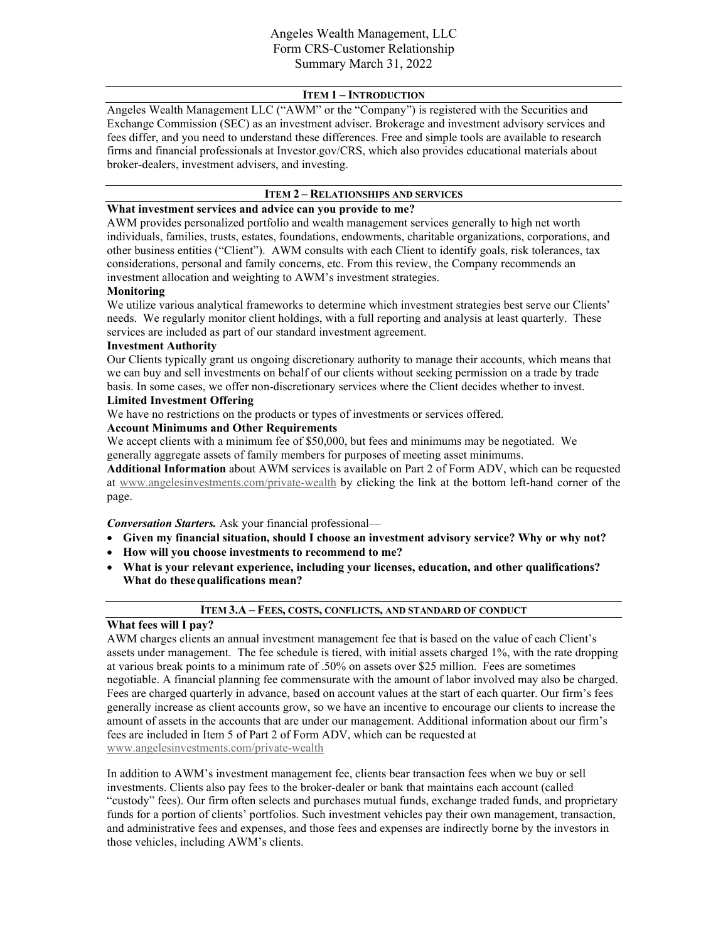## **ITEM 1 – INTRODUCTION**

Angeles Wealth Management LLC ("AWM" or the "Company") is registered with the Securities and Exchange Commission (SEC) as an investment adviser. Brokerage and investment advisory services and fees differ, and you need to understand these differences. Free and simple tools are available to research firms and financial professionals at Investor.gov/CRS, which also provides educational materials about broker-dealers, investment advisers, and investing.

## **ITEM 2 – RELATIONSHIPS AND SERVICES**

# **What investment services and advice can you provide to me?**

AWM provides personalized portfolio and wealth management services generally to high net worth individuals, families, trusts, estates, foundations, endowments, charitable organizations, corporations, and other business entities ("Client"). AWM consults with each Client to identify goals, risk tolerances, tax considerations, personal and family concerns, etc. From this review, the Company recommends an investment allocation and weighting to AWM's investment strategies.

## **Monitoring**

We utilize various analytical frameworks to determine which investment strategies best serve our Clients' needs. We regularly monitor client holdings, with a full reporting and analysis at least quarterly. These services are included as part of our standard investment agreement.

### **Investment Authority**

Our Clients typically grant us ongoing discretionary authority to manage their accounts, which means that we can buy and sell investments on behalf of our clients without seeking permission on a trade by trade basis. In some cases, we offer non-discretionary services where the Client decides whether to invest.

#### **Limited Investment Offering**

We have no restrictions on the products or types of investments or services offered.

# **Account Minimums and Other Requirements**

We accept clients with a minimum fee of \$50,000, but fees and minimums may be negotiated. We generally aggregate assets of family members for purposes of meeting asset minimums.

**Additional Information** about AWM services is available on Part 2 of Form ADV, which can be requested at [www.angelesinvestments.com/private-wealth](http://www.angelesinvestments.com/private-wealth) by clicking the link at the bottom left-hand corner of the page.

*Conversation Starters.* Ask your financial professional—

- **Given my financial situation, should I choose an investment advisory service? Why or why not?**
- **How will you choose investments to recommend to me?**
- **What is your relevant experience, including your licenses, education, and other qualifications? What do thesequalifications mean?**

#### **ITEM 3.A – FEES, COSTS, CONFLICTS, AND STANDARD OF CONDUCT**

#### **What fees will I pay?**

AWM charges clients an annual investment management fee that is based on the value of each Client's assets under management. The fee schedule is tiered, with initial assets charged 1%, with the rate dropping at various break points to a minimum rate of .50% on assets over \$25 million. Fees are sometimes negotiable. A financial planning fee commensurate with the amount of labor involved may also be charged. Fees are charged quarterly in advance, based on account values at the start of each quarter. Our firm's fees generally increase as client accounts grow, so we have an incentive to encourage our clients to increase the amount of assets in the accounts that are under our management. Additional information about our firm's fees are included in Item 5 of Part 2 of Form ADV, which can be requested at [www.angelesinvestments.com/private-wealth](http://www.angelesinvestments.com/private-wealth.) 

In addition to AWM's investment management fee, clients bear transaction fees when we buy or sell investments. Clients also pay fees to the broker-dealer or bank that maintains each account (called "custody" fees). Our firm often selects and purchases mutual funds, exchange traded funds, and proprietary funds for a portion of clients' portfolios. Such investment vehicles pay their own management, transaction, and administrative fees and expenses, and those fees and expenses are indirectly borne by the investors in those vehicles, including AWM's clients.